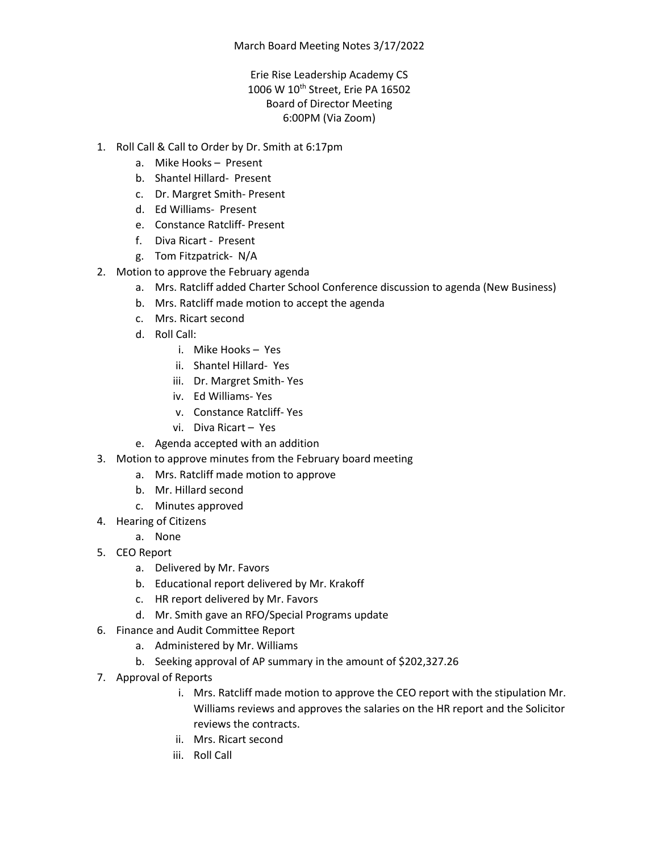## Erie Rise Leadership Academy CS 1006 W 10<sup>th</sup> Street, Erie PA 16502 Board of Director Meeting 6:00PM (Via Zoom)

- 1. Roll Call & Call to Order by Dr. Smith at 6:17pm
	- a. Mike Hooks Present
	- b. Shantel Hillard- Present
	- c. Dr. Margret Smith- Present
	- d. Ed Williams- Present
	- e. Constance Ratcliff- Present
	- f. Diva Ricart Present
	- g. Tom Fitzpatrick- N/A
- 2. Motion to approve the February agenda
	- a. Mrs. Ratcliff added Charter School Conference discussion to agenda (New Business)
	- b. Mrs. Ratcliff made motion to accept the agenda
	- c. Mrs. Ricart second
	- d. Roll Call:
		- i. Mike Hooks Yes
		- ii. Shantel Hillard- Yes
		- iii. Dr. Margret Smith- Yes
		- iv. Ed Williams- Yes
		- v. Constance Ratcliff- Yes
		- vi. Diva Ricart Yes
	- e. Agenda accepted with an addition
- 3. Motion to approve minutes from the February board meeting
	- a. Mrs. Ratcliff made motion to approve
		- b. Mr. Hillard second
		- c. Minutes approved
- 4. Hearing of Citizens
	- a. None
- 5. CEO Report
	- a. Delivered by Mr. Favors
	- b. Educational report delivered by Mr. Krakoff
	- c. HR report delivered by Mr. Favors
	- d. Mr. Smith gave an RFO/Special Programs update
- 6. Finance and Audit Committee Report
	- a. Administered by Mr. Williams
	- b. Seeking approval of AP summary in the amount of \$202,327.26
- 7. Approval of Reports
	- i. Mrs. Ratcliff made motion to approve the CEO report with the stipulation Mr. Williams reviews and approves the salaries on the HR report and the Solicitor reviews the contracts.
	- ii. Mrs. Ricart second
	- iii. Roll Call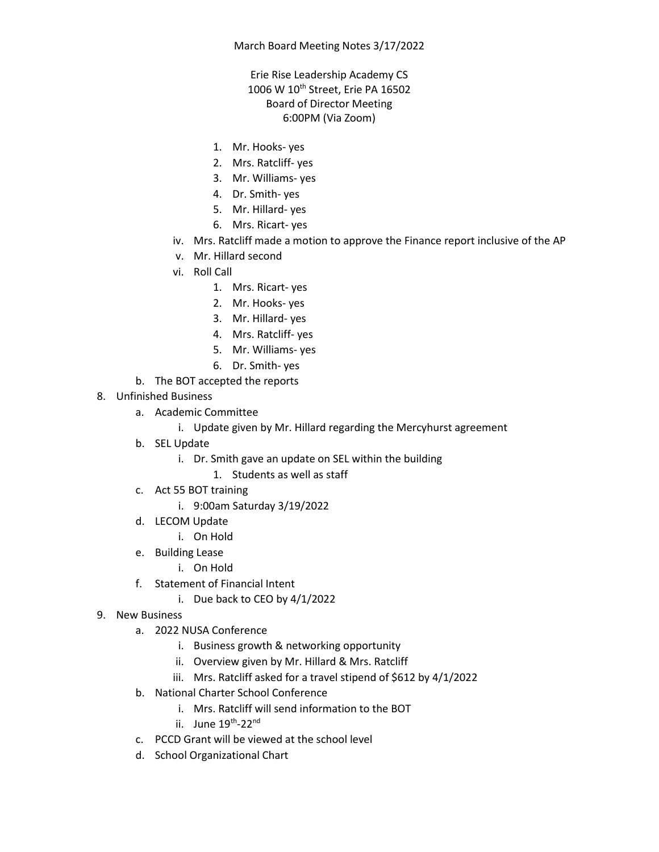## March Board Meeting Notes 3/17/2022

## Erie Rise Leadership Academy CS 1006 W 10<sup>th</sup> Street, Erie PA 16502 Board of Director Meeting 6:00PM (Via Zoom)

- 1. Mr. Hooks- yes
- 2. Mrs. Ratcliff- yes
- 3. Mr. Williams- yes
- 4. Dr. Smith- yes
- 5. Mr. Hillard- yes
- 6. Mrs. Ricart- yes
- iv. Mrs. Ratcliff made a motion to approve the Finance report inclusive of the AP
- v. Mr. Hillard second
- vi. Roll Call
	- 1. Mrs. Ricart- yes
	- 2. Mr. Hooks- yes
	- 3. Mr. Hillard- yes
	- 4. Mrs. Ratcliff- yes
	- 5. Mr. Williams- yes
	- 6. Dr. Smith- yes
- b. The BOT accepted the reports
- 8. Unfinished Business
	- a. Academic Committee
		- i. Update given by Mr. Hillard regarding the Mercyhurst agreement
	- b. SEL Update
		- i. Dr. Smith gave an update on SEL within the building
			- 1. Students as well as staff
	- c. Act 55 BOT training
		- i. 9:00am Saturday 3/19/2022
	- d. LECOM Update
		- i. On Hold
	- e. Building Lease
		- i. On Hold
	- f. Statement of Financial Intent
		- i. Due back to CEO by 4/1/2022
- 9. New Business
	- a. 2022 NUSA Conference
		- i. Business growth & networking opportunity
		- ii. Overview given by Mr. Hillard & Mrs. Ratcliff
		- iii. Mrs. Ratcliff asked for a travel stipend of \$612 by 4/1/2022
	- b. National Charter School Conference
		- i. Mrs. Ratcliff will send information to the BOT
		- ii. June 19<sup>th</sup>-22<sup>nd</sup>
	- c. PCCD Grant will be viewed at the school level
	- d. School Organizational Chart